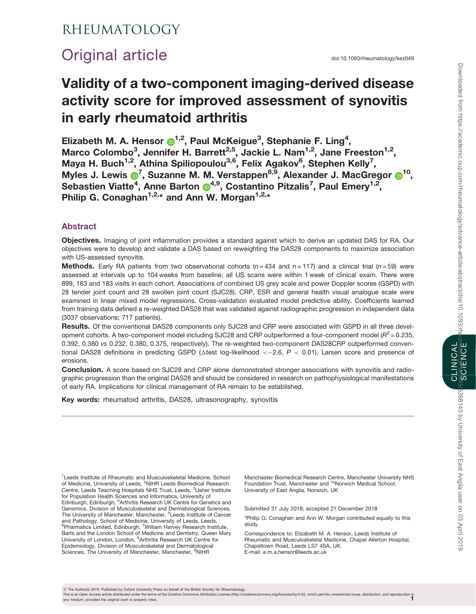# Downloaded from https://academic.oup.com/rheumatology/advance-article-abstract/doi/10.1093/rhe SCIENCE Downloaded from https://academic.oup.com/rheumatology/advance-article-abstract/doi/10.1093/rheumatology/kez049/5368140 by University of East Anglia user on 03 April 2019

# **CLINICAL**<br>"SCYÉNCE" CLINICAL

## RHEUMATOLOGY

# Original article doi:10.1093/rheumatology/kez049

# Validity of a two-component imaging-derived disease activity score for improved assessment of synovitis in early rheumatoid arthritis

Elizabeth M. A. Hensor  $\bigcirc^{1,2}$  $\bigcirc^{1,2}$  $\bigcirc^{1,2}$ , Paul McKeigue<sup>3</sup>, Stephanie F. Ling<sup>4</sup>, Marco Colombo<sup>3</sup>, Jennifer H. Barrett<sup>2,5</sup>, Jackie L. Nam<sup>1,2</sup>, Jane Freeston<sup>1,2</sup>, Maya H. Buch<sup>1,2</sup>, Athina Spiliopoulou<sup>3,6</sup>, Felix Agakov<sup>6</sup>, Stephen Kelly<sup>7</sup>, Myles J. Lewis <sup>7</sup>, Suzanne M. M. Verstappen<sup>8,9</sup>, Alexander J. MacGregor <sup>10</sup>, Sebastien Viatte<sup>[4](http://orcid.org/0000-0003-3316-2527)</sup>, Anne Barton @<sup>4,9</sup>, Costantino Pitzalis<sup>7</sup>, Paul Emery<sup>1,2</sup>, Philip G. Conaghan<sup>1,2,\*</sup> and Ann W. Morgan<sup>1,2,\*</sup>

### Abstract

Objectives. Imaging of joint inflammation provides a standard against which to derive an updated DAS for RA. Our objectives were to develop and validate a DAS based on reweighting the DAS28 components to maximize association with US-assessed synovitis.

**Methods.** Early RA patients from two observational cohorts ( $n = 434$  and  $n = 117$ ) and a clinical trial ( $n = 59$ ) were assessed at intervals up to 104 weeks from baseline; all US scans were within 1 week of clinical exam. There were 899, 163 and 183 visits in each cohort. Associations of combined US grey scale and power Doppler scores (GSPD) with 28 tender joint count and 28 swollen joint count (SJC28), CRP, ESR and general health visual analogue scale were examined in linear mixed model regressions. Cross-validation evaluated model predictive ability. Coefficients learned from training data defined a re-weighted DAS28 that was validated against radiographic progression in independent data (3037 observations; 717 patients).

Results. Of the conventional DAS28 components only SJC28 and CRP were associated with GSPD in all three development cohorts. A two-component model including SJC28 and CRP outperformed a four-component model ( $R^2$  = 0.235, 0.392, 0.380 vs 0.232, 0.380, 0.375, respectively). The re-weighted two-component DAS28CRP outperformed conventional DAS28 definitions in predicting GSPD ( $\Delta$ test log-likelihood < $-2.6,$   $P$  < 0.01), Larsen score and presence of erosions.

Conclusion. A score based on SJC28 and CRP alone demonstrated stronger associations with synovitis and radiographic progression than the original DAS28 and should be considered in research on pathophysiological manifestations of early RA. Implications for clinical management of RA remain to be established.

Key words: rheumatoid arthritis, DAS28, ultrasonography, synovitis

<sup>1</sup> Leeds Institute of Rheumatic and Musculoskeletal Medicine, School of Medicine, University of Leeds, <sup>2</sup>NIHR Leeds Biomedical Research<br>Centre, Leeds Teaching Hospitals NHS Trust, Leeds, <sup>3</sup>Usher Institute for Population Health Sciences and Informatics, University of<br>Edinburgh, Edinburgh, <sup>4</sup>Arthritis Research UK Centre for Genetics and Genomics, Division of Musculoskeletal and Dermatological Sciences, The University of Manchester, Manchester, <sup>5</sup>Leeds Institute of Cancer and Pathology, School of Medicine, University of Leeds, Leeds,<br><sup>6</sup>Pharmatics Limited, Edinburgh, <sup>7</sup>William Harvey Research Institute, Barts and the London School of Medicine and Dentistry, Queen Mary<br>University of London, London, <sup>8</sup>Arthritis Research UK Centre for Epidemiology, Division of Musculoskeletal and Dermatological Sciences, The University of Manchester, Manchester, <sup>9</sup>NIHR

Manchester Biomedical Research Centre, Manchester University NHS Foundation Trust, Manchester and <sup>10</sup>Norwich Medical School, University of East Anglia, Norwich, UK

Submitted 31 July 2018; accepted 21 December 2018

\*Philip G. Conaghan and Ann W. Morgan contributed equally to this study.

Correspondence to: Elizabeth M. A. Hensor, Leeds Institute of Rheumatic and Musculoskeletal Medicine, Chapel Allerton Hospital, Chapeltown Road, Leeds LS7 4SA, UK. E-mail: e.m.a.hensor@leeds.ac.uk

! The Author(s) 2019. Published by Oxford University Press on behalf of the British Society for Rheumatology.

This is an Open Access article distributed under the terms of the Creative Commons Attribution License ([http://creativecommons.org/licenses/by/4.0/\)](http://�creativecommons.�org/�licenses/�by/�4.�0/�), which permits unrestricted reuse, distribution, and reproduction ir<br>【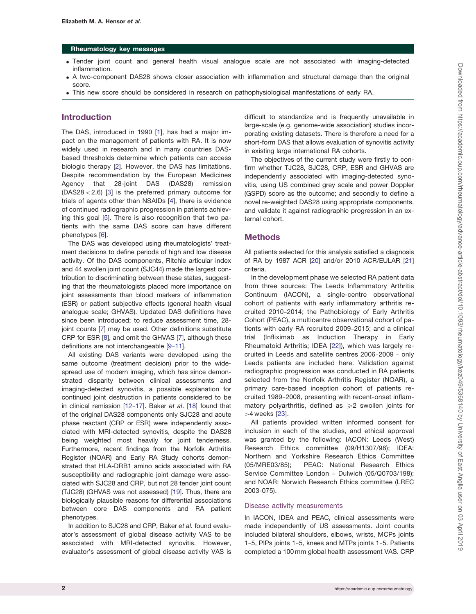### Rheumatology key messages

- . Tender joint count and general health visual analogue scale are not associated with imaging-detected inflammation.
- . A two-component DAS28 shows closer association with inflammation and structural damage than the original score.
- . This new score should be considered in research on pathophysiological manifestations of early RA.

### Introduction

The DAS, introduced in 1990 [[1\]](#page-8-0), has had a major impact on the management of patients with RA. It is now widely used in research and in many countries DASbased thresholds determine which patients can access biologic therapy [[2](#page-8-0)]. However, the DAS has limitations. Despite recommendation by the European Medicines Agency that 28-joint DAS (DAS28) remission (DAS28 < 2.6) [\[3](#page-8-0)] is the preferred primary outcome for trials of agents other than NSAIDs [\[4](#page-8-0)], there is evidence of continued radiographic progression in patients achieving this goal [\[5\]](#page-8-0). There is also recognition that two patients with the same DAS score can have different phenotypes [[6\]](#page-8-0).

The DAS was developed using rheumatologists' treatment decisions to define periods of high and low disease activity. Of the DAS components, Ritchie articular index and 44 swollen joint count (SJC44) made the largest contribution to discriminating between these states, suggesting that the rheumatologists placed more importance on joint assessments than blood markers of inflammation (ESR) or patient subjective effects (general health visual analogue scale; GHVAS). Updated DAS definitions have since been introduced; to reduce assessment time, 28- joint counts [\[7\]](#page-8-0) may be used. Other definitions substitute CRP for ESR [[8](#page-8-0)], and omit the GHVAS [[7](#page-8-0)], although these definitions are not interchangeable [\[9](#page-8-0)-[11\]](#page-8-0).

All existing DAS variants were developed using the same outcome (treatment decision) prior to the widespread use of modern imaging, which has since demonstrated disparity between clinical assessments and imaging-detected synovitis, a possible explanation for continued joint destruction in patients considered to be in clinical remission [[12](#page-8-0)-[17\]](#page-8-0). Baker et al. [[18](#page-8-0)] found that of the original DAS28 components only SJC28 and acute phase reactant (CRP or ESR) were independently associated with MRI-detected synovitis, despite the DAS28 being weighted most heavily for joint tenderness. Furthermore, recent findings from the Norfolk Arthritis Register (NOAR) and Early RA Study cohorts demonstrated that HLA-DRB1 amino acids associated with RA susceptibility and radiographic joint damage were associated with SJC28 and CRP, but not 28 tender joint count (TJC28) (GHVAS was not assessed) [\[19\]](#page-8-0). Thus, there are biologically plausible reasons for differential associations between core DAS components and RA patient phenotypes.

In addition to SJC28 and CRP, Baker et al. found evaluator's assessment of global disease activity VAS to be associated with MRI-detected synovitis. However, evaluator's assessment of global disease activity VAS is difficult to standardize and is frequently unavailable in large-scale (e.g. genome-wide association) studies incorporating existing datasets. There is therefore a need for a short-form DAS that allows evaluation of synovitis activity in existing large international RA cohorts.

The objectives of the current study were firstly to confirm whether TJC28, SJC28, CRP, ESR and GHVAS are independently associated with imaging-detected synovitis, using US combined grey scale and power Doppler (GSPD) score as the outcome; and secondly to define a novel re-weighted DAS28 using appropriate components, and validate it against radiographic progression in an external cohort.

### Methods

All patients selected for this analysis satisfied a diagnosis of RA by 1987 ACR [[20](#page-8-0)] and/or 2010 ACR/EULAR [\[21\]](#page-9-0) criteria.

In the development phase we selected RA patient data from three sources: The Leeds Inflammatory Arthritis Continuum (IACON), a single-centre observational cohort of patients with early inflammatory arthritis recruited 2010-2014; the Pathobiology of Early Arthritis Cohort (PEAC), a multicentre observational cohort of patients with early RA recruited 2009-2015; and a clinical trial (Infliximab as Induction Therapy in Early Rheumatoid Arthritis; IDEA [[22](#page-9-0)]), which was largely recruited in Leeds and satellite centres 2006-2009 - only Leeds patients are included here. Validation against radiographic progression was conducted in RA patients selected from the Norfolk Arthritis Register (NOAR), a primary care-based inception cohort of patients recruited 1989-2008, presenting with recent-onset inflammatory polyarthritis, defined as  $\geq 2$  swollen joints for >4 weeks [\[23](#page-9-0)].

All patients provided written informed consent for inclusion in each of the studies, and ethical approval was granted by the following: IACON: Leeds (West) Research Ethics committee (09/H1307/98); IDEA: Northern and Yorkshire Research Ethics Committee (05/MRE03/85); PEAC: National Research Ethics Service Committee London - Dulwich (05/Q0703/198); and NOAR: Norwich Research Ethics committee (LREC 2003-075).

### Disease activity measurements

In IACON, IDEA and PEAC, clinical assessments were made independently of US assessments. Joint counts included bilateral shoulders, elbows, wrists, MCPs joints 1-5, PIPs joints 1-5, knees and MTPs joints 1-5. Patients completed a 100 mm global health assessment VAS. CRP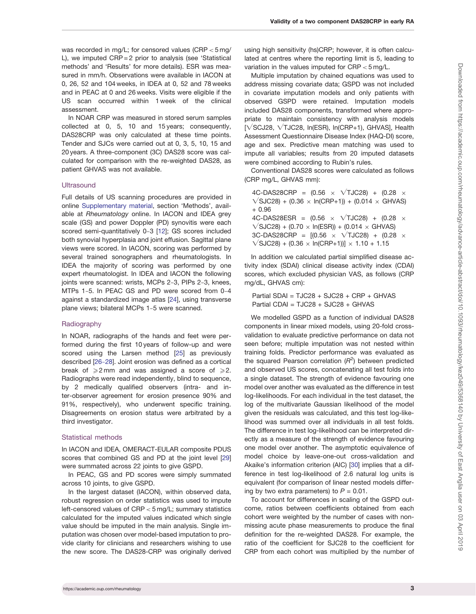was recorded in mg/L; for censored values (CRP < 5 mg/ L), we imputed CRP = 2 prior to analysis (see 'Statistical methods' and 'Results' for more details). ESR was measured in mm/h. Observations were available in IACON at 0, 26, 52 and 104 weeks, in IDEA at 0, 52 and 78 weeks and in PEAC at 0 and 26 weeks. Visits were eligible if the US scan occurred within 1 week of the clinical assessment.

In NOAR CRP was measured in stored serum samples collected at 0, 5, 10 and 15 years; consequently, DAS28CRP was only calculated at these time points. Tender and SJCs were carried out at 0, 3, 5, 10, 15 and 20 years. A three-component (3C) DAS28 score was calculated for comparison with the re-weighted DAS28, as patient GHVAS was not available.

### **Ultrasound**

Full details of US scanning procedures are provided in online [Supplementary material](https://academic.oup.com/rheumatology/article-lookup/doi/10.1093/rheumatology/kez049#supplementary-data), section 'Methods', available at Rheumatology online. In IACON and IDEA grey scale (GS) and power Doppler (PD) synovitis were each scored semi-quantitatively 0-3 [\[12\]](#page-8-0); GS scores included both synovial hyperplasia and joint effusion. Sagittal plane views were scored. In IACON, scoring was performed by several trained sonographers and rheumatologists. In IDEA the majority of scoring was performed by one expert rheumatologist. In IDEA and IACON the following joints were scanned: wrists, MCPs 2-3, PIPs 2-3, knees, MTPs 1-5. In PEAC GS and PD were scored from 0-4 against a standardized image atlas [\[24\]](#page-9-0), using transverse plane views; bilateral MCPs 1-5 were scanned.

### Radiography

In NOAR, radiographs of the hands and feet were performed during the first 10 years of follow-up and were scored using the Larsen method [\[25\]](#page-9-0) as previously described [[26](#page-9-0)-[28\]](#page-9-0). Joint erosion was defined as a cortical break of  $\geq 2$  mm and was assigned a score of  $\geq 2$ . Radiographs were read independently, blind to sequence, by 2 medically qualified observers (intra- and inter-observer agreement for erosion presence 90% and 91%, respectively), who underwent specific training. Disagreements on erosion status were arbitrated by a third investigator.

### Statistical methods

In IACON and IDEA, OMERACT-EULAR composite PDUS scores that combined GS and PD at the joint level [\[29](#page-9-0)] were summated across 22 joints to give GSPD.

In PEAC, GS and PD scores were simply summated across 10 joints, to give GSPD.

In the largest dataset (IACON), within observed data, robust regression on order statistics was used to impute left-censored values of CRP < 5 mg/L; summary statistics calculated for the imputed values indicated which single value should be imputed in the main analysis. Single imputation was chosen over model-based imputation to provide clarity for clinicians and researchers wishing to use the new score. The DAS28-CRP was originally derived

using high sensitivity (hs)CRP; however, it is often calculated at centres where the reporting limit is 5, leading to variation in the values imputed for CRP < 5 mg/L.

Multiple imputation by chained equations was used to address missing covariate data; GSPD was not included in covariate imputation models and only patients with observed GSPD were retained. Imputation models included DAS28 components, transformed where appropriate to maintain consistency with analysis models  $[\sqrt{SCJ28}, \sqrt{TJC28}, \ln(ESR), \ln(CRP+1), GHVAS],$  Health Assessment Questionnaire Disease Index (HAQ-DI) score, age and sex. Predictive mean matching was used to impute all variables; results from 20 imputed datasets were combined according to Rubin's rules.

Conventional DAS28 scores were calculated as follows (CRP mg/L, GHVAS mm):

4C-DAS28CRP =  $(0.56 \times \sqrt{T}JC28) + (0.28 \times$  $\sqrt{SJC28}$  + (0.36  $\times$  ln(CRP+1)) + (0.014  $\times$  GHVAS) + 0.96 4C-DAS28ESR =  $(0.56 \times \sqrt{T}JC28) + (0.28 \times$  $\sqrt{SJC28}$  + (0.70  $\times$  ln(ESR)) + (0.014  $\times$  GHVAS) 3C-DAS28CRP =  $[(0.56 \times \sqrt{T}JC28) + (0.28 \times$  $\sqrt{SJC28}$  + (0.36  $\times$  ln(CRP+1))]  $\times$  1.10 + 1.15

In addition we calculated partial simplified disease activity index (SDAI) clinical disease activity index (CDAI) scores, which excluded physician VAS, as follows (CRP mg/dL, GHVAS cm):

Partial SDAI = TJC28 + SJC28 + CRP + GHVAS Partial CDAI = TJC28 + SJC28 + GHVAS

We modelled GSPD as a function of individual DAS28 components in linear mixed models, using 20-fold crossvalidation to evaluate predictive performance on data not seen before; multiple imputation was not nested within training folds. Predictor performance was evaluated as the squared Pearson correlation  $(R^2)$  between predicted and observed US scores, concatenating all test folds into a single dataset. The strength of evidence favouring one model over another was evaluated as the difference in test log-likelihoods. For each individual in the test dataset, the log of the multivariate Gaussian likelihood of the model given the residuals was calculated, and this test log-likelihood was summed over all individuals in all test folds. The difference in test log-likelihood can be interpreted directly as a measure of the strength of evidence favouring one model over another. The asymptotic equivalence of model choice by leave-one-out cross-validation and Akaike's information criterion (AIC) [[30\]](#page-9-0) implies that a difference in test log-likelihood of 2.6 natural log units is equivalent (for comparison of linear nested models differing by two extra parameters) to  $P = 0.01$ .

To account for differences in scaling of the GSPD outcome, ratios between coefficients obtained from each cohort were weighted by the number of cases with nonmissing acute phase measurements to produce the final definition for the re-weighted DAS28. For example, the ratio of the coefficient for SJC28 to the coefficient for CRP from each cohort was multiplied by the number of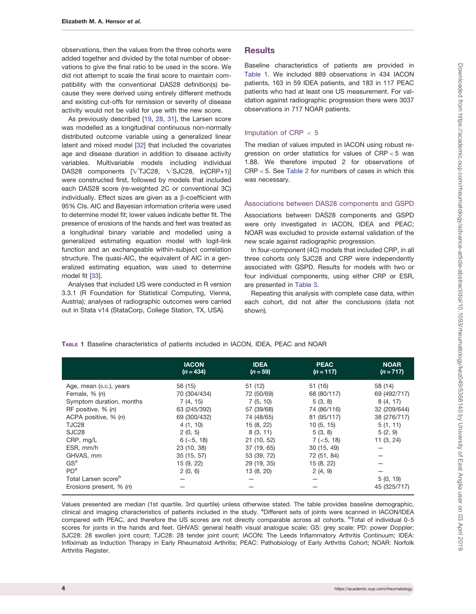<span id="page-3-0"></span>observations, then the values from the three cohorts were added together and divided by the total number of observations to give the final ratio to be used in the score. We did not attempt to scale the final score to maintain compatibility with the conventional DAS28 definition(s) because they were derived using entirely different methods and existing cut-offs for remission or severity of disease activity would not be valid for use with the new score.

As previously described [[19,](#page-8-0) [28,](#page-9-0) [31\]](#page-9-0), the Larsen score was modelled as a longitudinal continuous non-normally distributed outcome variable using a generalized linear latent and mixed model [[32](#page-9-0)] that included the covariates age and disease duration in addition to disease activity variables. Multivariable models including individual DAS28 components  $[VTTC28, VSJC28, In(CRP+1)]$ were constructed first, followed by models that included each DAS28 score (re-weighted 2C or conventional 3C) individually. Effect sizes are given as a  $\beta$ -coefficient with 95% CIs. AIC and Bayesian information criteria were used to determine model fit; lower values indicate better fit. The presence of erosions of the hands and feet was treated as a longitudinal binary variable and modelled using a generalized estimating equation model with logit-link function and an exchangeable within-subject correlation structure. The quasi-AIC, the equivalent of AIC in a generalized estimating equation, was used to determine model fit [[33](#page-9-0)].

Analyses that included US were conducted in R version 3.3.1 (R Foundation for Statistical Computing, Vienna, Austria); analyses of radiographic outcomes were carried out in Stata v14 (StataCorp, College Station, TX, USA).

### **Results**

Baseline characteristics of patients are provided in Table 1. We included 889 observations in 434 IACON patients, 163 in 59 IDEA patients, and 183 in 117 PEAC patients who had at least one US measurement. For validation against radiographic progression there were 3037 observations in 717 NOAR patients.

### Imputation of CRP  $< 5$

The median of values imputed in IACON using robust regression on order statistics for values of CRP < 5 was 1.88. We therefore imputed 2 for observations of CRP < 5. See [Table 2](#page-4-0) for numbers of cases in which this was necessary.

### Associations between DAS28 components and GSPD

Associations between DAS28 components and GSPD were only investigated in IACON, IDEA and PEAC; NOAR was excluded to provide external validation of the new scale against radiographic progression.

In four-component (4C) models that included CRP, in all three cohorts only SJC28 and CRP were independently associated with GSPD. Results for models with two or four individual components, using either CRP or ESR, are presented in [Table 3](#page-4-0).

Repeating this analysis with complete case data, within each cohort, did not alter the conclusions (data not shown).

|  |  | TABLE 1 Baseline characteristics of patients included in IACON, IDEA, PEAC and NOAR |  |  |  |  |  |  |  |  |  |
|--|--|-------------------------------------------------------------------------------------|--|--|--|--|--|--|--|--|--|
|--|--|-------------------------------------------------------------------------------------|--|--|--|--|--|--|--|--|--|

|                                 | <b>IACON</b><br>$(n = 434)$ | <b>IDEA</b><br>$(n = 59)$ | <b>PEAC</b><br>$(n = 117)$ | <b>NOAR</b><br>$(n = 717)$ |
|---------------------------------|-----------------------------|---------------------------|----------------------------|----------------------------|
| Age, mean (s.p.), years         | 56 (15)                     | 51(12)                    | 51 (16)                    | 58 (14)                    |
| Female, $% (n)$                 | 70 (304/434)                | 72 (50/69)                | 68 (80/117)                | 69 (492/717)               |
| Symptom duration, months        | 7(4, 15)                    | 7(5, 10)                  | 5(3, 8)                    | 8(4, 17)                   |
| RF positive, $% (n)$            | 63 (245/392)                | 57 (39/68)                | 74 (86/116)                | 32 (209/644)               |
| ACPA positive, $% (n)$          | 69 (300/432)                | 74 (48/65)                | 81 (95/117)                | 38 (276/717)               |
| TJC28                           | 4(1, 10)                    | 15 (8, 22)                | 10(5, 15)                  | 5(1, 11)                   |
| SJC <sub>28</sub>               | 2(0, 5)                     | 8(3, 11)                  | 5(3, 8)                    | 5(2, 9)                    |
| CRP, mg/L                       | $6$ ( $<$ 5, 18)            | 21(10, 52)                | $7 (-5, 18)$               | 11(3, 24)                  |
| ESR, mm/h                       | 23 (10, 38)                 | 37 (19, 65)               | 30 (15, 49)                |                            |
| GHVAS, mm                       | 35 (15, 57)                 | 53 (39, 72)               | 72 (51, 84)                |                            |
| GS <sup>a</sup>                 | 15 (9, 22)                  | 29 (19, 35)               | 15 (8, 22)                 |                            |
| PD <sup>a</sup>                 | 2(0, 6)                     | 13 (8, 20)                | 2(4, 9)                    |                            |
| Total Larsen score <sup>b</sup> |                             |                           |                            | 5(0, 19)                   |
| Erosions present, % (n)         |                             |                           |                            | 45 (325/717)               |

Values presented are median (1st quartile, 3rd quartile) unless otherwise stated. The table provides baseline demographic, clinical and imaging characteristics of patients included in the study. <sup>a</sup>Different sets of joints were scanned in IACON/IDEA compared with PEAC, and therefore the US scores are not directly comparable across all cohorts. <sup>b</sup>Total of individual 0-5 scores for joints in the hands and feet. GHVAS: general health visual analogue scale; GS: grey scale; PD: power Doppler; SJC28: 28 swollen joint count; TJC28: 28 tender joint count; IACON: The Leeds Inflammatory Arthritis Continuum; IDEA: Infliximab as Induction Therapy in Early Rheumatoid Arthritis; PEAC: Pathobiology of Early Arthritis Cohort; NOAR: Norfolk Arthritis Register.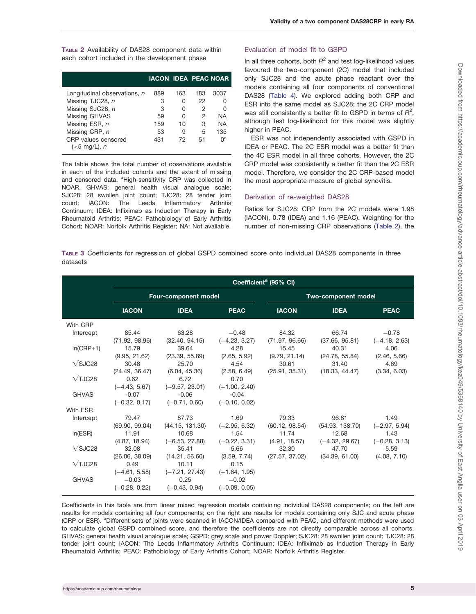<span id="page-4-0"></span>TABLE 2 Availability of DAS28 component data within each cohort included in the development phase

|                                       | <b>IACON IDEA PEAC NOAR</b> |     |     |           |
|---------------------------------------|-----------------------------|-----|-----|-----------|
| Longitudinal observations, n          | 889                         | 163 | 183 | 3037      |
| Missing TJC28, n                      | 3                           | n   | 22  |           |
| Missing SJC28, n                      | 3                           |     | 2   |           |
| <b>Missing GHVAS</b>                  | 59                          | O   | 2   | <b>NA</b> |
| Missing ESR, n                        | 159                         | 10  | 3   | NA        |
| Missing CRP, n                        | 53                          | 9   | 5   | 135       |
| CRP values censored<br>$(<5$ mg/L), n | 431                         | 72  | 51  | na        |

The table shows the total number of observations available in each of the included cohorts and the extent of missing and censored data. <sup>a</sup>High-sensitivity CRP was collected in NOAR. GHVAS: general health visual analogue scale; SJC28: 28 swollen joint count; TJC28: 28 tender joint count; IACON: The Leeds Inflammatory Arthritis Continuum; IDEA: Infliximab as Induction Therapy in Early Rheumatoid Arthritis; PEAC: Pathobiology of Early Arthritis Cohort; NOAR: Norfolk Arthritis Register; NA: Not available.

### Evaluation of model fit to GSPD

In all three cohorts, both  $R^2$  and test log-likelihood values favoured the two-component (2C) model that included only SJC28 and the acute phase reactant over the models containing all four components of conventional DAS28 [\(Table 4](#page-5-0)). We explored adding both CRP and ESR into the same model as SJC28; the 2C CRP model was still consistently a better fit to GSPD in terms of  $R^2$ , although test log-likelihood for this model was slightly higher in PEAC.

ESR was not independently associated with GSPD in IDEA or PEAC. The 2C ESR model was a better fit than the 4C ESR model in all three cohorts. However, the 2C CRP model was consistently a better fit than the 2C ESR model. Therefore, we consider the 2C CRP-based model the most appropriate measure of global synovitis.

### Derivation of re-weighted DAS28

Ratios for SJC28: CRP from the 2C models were 1.98 (IACON), 0.78 (IDEA) and 1.16 (PEAC). Weighting for the number of non-missing CRP observations (Table 2), the

TABLE 3 Coefficients for regression of global GSPD combined score onto individual DAS28 components in three datasets

|                       | Coefficient <sup>a</sup> (95% CI)             |                                             |                                               |                         |                           |                            |  |  |
|-----------------------|-----------------------------------------------|---------------------------------------------|-----------------------------------------------|-------------------------|---------------------------|----------------------------|--|--|
|                       |                                               | <b>Four-component model</b>                 |                                               | Two-component model     |                           |                            |  |  |
|                       | <b>IACON</b>                                  | <b>IDEA</b>                                 | <b>PEAC</b>                                   | <b>IACON</b>            | <b>IDEA</b>               | <b>PEAC</b>                |  |  |
| With CRP              |                                               |                                             |                                               |                         |                           |                            |  |  |
| Intercept             | 85.44<br>(71.92, 98.96)                       | 63.28<br>(32.40, 94.15)                     | $-0.48$<br>$(-4.23, 3.27)$                    | 84.32<br>(71.97, 96.66) | 66.74<br>(37.66, 95.81)   | $-0.78$<br>$(-4.18, 2.63)$ |  |  |
| $In(CRP+1)$           | 15.79<br>(9.95, 21.62)                        | 39.64<br>(23.39, 55.89)                     | 4.28<br>(2.65, 5.92)                          | 15.45<br>(9.79, 21.14)  | 40.31<br>(24.78, 55.84)   | 4.06<br>(2.46, 5.66)       |  |  |
| $\sqrt{\text{SJC28}}$ | 30.48<br>(24.49, 36.47)                       | 25.70<br>(6.04, 45.36)                      | 4.54<br>(2.58, 6.49)                          | 30.61<br>(25.91, 35.31) | 31.40<br>(18.33, 44.47)   | 4.69<br>(3.34, 6.03)       |  |  |
| $\sqrt{7J}C28$        | 0.62<br>$(-4.43, 5.67)$                       | 6.72<br>$(-9.57, 23.01)$                    | 0.70<br>$(-1.00, 2.40)$                       |                         |                           |                            |  |  |
| <b>GHVAS</b>          | $-0.07$<br>$(-0.32, 0.17)$                    | $-0.06$<br>$(-0.71, 0.60)$                  | $-0.04$<br>$(-0.10, 0.02)$                    |                         |                           |                            |  |  |
| With ESR              |                                               |                                             |                                               |                         |                           |                            |  |  |
| Intercept             | 79.47<br>(69.90, 99.04)                       | 87.73<br>(44.15, 131.30)                    | 1.69<br>$(-2.95, 6.32)$                       | 79.33<br>(60.12, 98.54) | 96.81<br>(54.93, 138.70)  | 1.49<br>$(-2.97, 5.94)$    |  |  |
| In(ESR)               | 11.91<br>(4.87, 18.94)                        | 10.68<br>$(-6.53, 27.88)$                   | 1.54<br>$(-0.22, 3.31)$                       | 11.74<br>(4.91, 18.57)  | 12.68<br>$(-4.32, 29.67)$ | 1.43<br>$(-0.28, 3.13)$    |  |  |
| $\sqrt{\text{SJ}C}28$ | 32.08<br>(26.06, 38.09)                       | 35.41<br>(14.21, 56.60)                     | 5.66<br>(3.59, 7.74)                          | 32.30<br>(27.57, 37.02) | 47.70<br>(34.39, 61.00)   | 5.59<br>(4.08, 7.10)       |  |  |
| $\sqrt{$ isc $28$     | 0.49                                          | 10.11                                       | 0.15                                          |                         |                           |                            |  |  |
| <b>GHVAS</b>          | $(-4.61, 5.58)$<br>$-0.03$<br>$(-0.28, 0.22)$ | $(-7.21, 27.43)$<br>0.25<br>$(-0.43, 0.94)$ | $(-1.64, 1.95)$<br>$-0.02$<br>$(-0.09, 0.05)$ |                         |                           |                            |  |  |

Coefficients in this table are from linear mixed regression models containing individual DAS28 components; on the left are results for models containing all four components; on the right are results for models containing only SJC and acute phase (CRP or ESR). <sup>a</sup>Different sets of joints were scanned in IACON/IDEA compared with PEAC, and different methods were used to calculate global GSPD combined score, and therefore the coefficients are not directly comparable across all cohorts. GHVAS: general health visual analogue scale; GSPD: grey scale and power Doppler; SJC28: 28 swollen joint count; TJC28: 28 tender joint count; IACON: The Leeds Inflammatory Arthritis Continuum; IDEA: Infliximab as Induction Therapy in Early Rheumatoid Arthritis; PEAC: Pathobiology of Early Arthritis Cohort; NOAR: Norfolk Arthritis Register.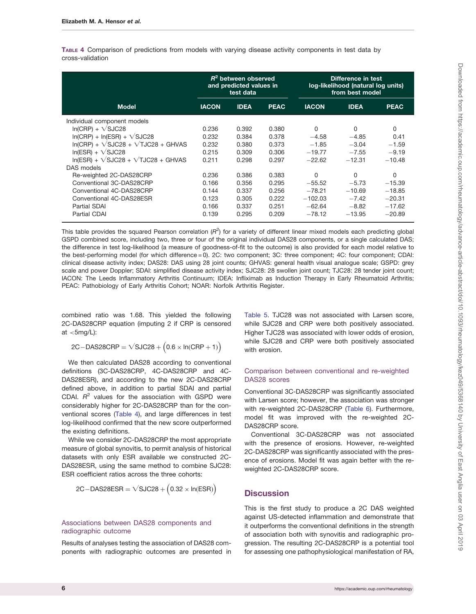<span id="page-5-0"></span>TABLE 4 Comparison of predictions from models with varying disease activity components in test data by cross-validation

|                                                 | $R^2$ between observed<br>and predicted values in<br>test data |             |             | Difference in test<br>log-likelihood (natural log units)<br>from best model |              |             |  |
|-------------------------------------------------|----------------------------------------------------------------|-------------|-------------|-----------------------------------------------------------------------------|--------------|-------------|--|
| <b>Model</b>                                    | <b>IACON</b>                                                   | <b>IDEA</b> | <b>PEAC</b> | <b>IACON</b>                                                                | <b>IDEA</b>  | <b>PEAC</b> |  |
| Individual component models                     |                                                                |             |             |                                                                             |              |             |  |
| $ln(CRP) + \sqrt{SJC28}$                        | 0.236                                                          | 0.392       | 0.380       | $\Omega$                                                                    | <sup>0</sup> | $\Omega$    |  |
| $ln(CRP) + ln(ESR) + \sqrt{SJC28}$              | 0.232                                                          | 0.384       | 0.378       | $-4.58$                                                                     | $-4.85$      | 0.41        |  |
| $In(CRP) + \sqrt{SJC28} + \sqrt{TJC28} + GHVAS$ | 0.232                                                          | 0.380       | 0.373       | $-1.85$                                                                     | $-3.04$      | $-1.59$     |  |
| $In(ESR) + VSJC28$                              | 0.215                                                          | 0.309       | 0.306       | $-19.77$                                                                    | $-7.55$      | $-9.19$     |  |
| $In(ESR) + V-SJC28 + VTO28 + GHVAS$             | 0.211                                                          | 0.298       | 0.297       | $-22.62$                                                                    | $-12.31$     | $-10.48$    |  |
| DAS models                                      |                                                                |             |             |                                                                             |              |             |  |
| Re-weighted 2C-DAS28CRP                         | 0.236                                                          | 0.386       | 0.383       | 0                                                                           | $\Omega$     | 0           |  |
| Conventional 3C-DAS28CRP                        | 0.166                                                          | 0.356       | 0.295       | $-55.52$                                                                    | $-5.73$      | $-15.39$    |  |
| Conventional 4C-DAS28CRP                        | 0.144                                                          | 0.337       | 0.256       | $-78.21$                                                                    | $-10.69$     | $-18.85$    |  |
| Conventional 4C-DAS28ESR                        | 0.123                                                          | 0.305       | 0.222       | $-102.03$                                                                   | $-7.42$      | $-20.31$    |  |
| Partial SDAI                                    | 0.166                                                          | 0.337       | 0.251       | $-62.64$                                                                    | $-8.82$      | $-17.62$    |  |
| <b>Partial CDAI</b>                             | 0.139                                                          | 0.295       | 0.209       | $-78.12$                                                                    | $-13.95$     | $-20.89$    |  |

This table provides the squared Pearson correlation ( $R^2$ ) for a variety of different linear mixed models each predicting global GSPD combined score, including two, three or four of the original individual DAS28 components, or a single calculated DAS; the difference in test log-likelihood (a measure of goodness-of-fit to the outcome) is also provided for each model relative to the best-performing model (for which difference = 0). 2C: two component; 3C: three component; 4C: four component; CDAI: clinical disease activity index; DAS28: DAS using 28 joint counts; GHVAS: general health visual analogue scale; GSPD: grey scale and power Doppler; SDAI: simplified disease activity index; SJC28: 28 swollen joint count; TJC28: 28 tender joint count; IACON: The Leeds Inflammatory Arthritis Continuum; IDEA: Infliximab as Induction Therapy in Early Rheumatoid Arthritis; PEAC: Pathobiology of Early Arthritis Cohort; NOAR: Norfolk Arthritis Register.

combined ratio was 1.68. This yielded the following 2C-DAS28CRP equation (imputing 2 if CRP is censored at  $<$ 5mg/L):

$$
2C-DAS28CRP = \sqrt{SJC28 + (0.6 \times ln(CRP + 1))}
$$

We then calculated DAS28 according to conventional definitions (3C-DAS28CRP, 4C-DAS28CRP and 4C-DAS28ESR), and according to the new 2C-DAS28CRP defined above, in addition to partial SDAI and partial CDAI.  $R^2$  values for the association with GSPD were considerably higher for 2C-DAS28CRP than for the conventional scores (Table 4), and large differences in test log-likelihood confirmed that the new score outperformed the existing definitions.

While we consider 2C-DAS28CRP the most appropriate measure of global synovitis, to permit analysis of historical datasets with only ESR available we constructed 2C-DAS28ESR, using the same method to combine SJC28: ESR coefficient ratios across the three cohorts:

$$
2C-DAS28ESR = \sqrt{SJC28 + (0.32 \times \text{In(ESR)})}
$$

### Associations between DAS28 components and radiographic outcome

Results of analyses testing the association of DAS28 components with radiographic outcomes are presented in [Table 5](#page-6-0). TJC28 was not associated with Larsen score, while SJC28 and CRP were both positively associated. Higher TJC28 was associated with lower odds of erosion, while SJC28 and CRP were both positively associated with erosion

### Comparison between conventional and re-weighted DAS28 scores

Conventional 3C-DAS28CRP was significantly associated with Larsen score; however, the association was stronger with re-weighted 2C-DAS28CRP [\(Table 6\)](#page-7-0). Furthermore, model fit was improved with the re-weighted 2C-DAS28CRP score.

Conventional 3C-DAS28CRP was not associated with the presence of erosions. However, re-weighted 2C-DAS28CRP was significantly associated with the presence of erosions. Model fit was again better with the reweighted 2C-DAS28CRP score.

### **Discussion**

This is the first study to produce a 2C DAS weighted against US-detected inflammation and demonstrate that it outperforms the conventional definitions in the strength of association both with synovitis and radiographic progression. The resulting 2C-DAS28CRP is a potential tool for assessing one pathophysiological manifestation of RA,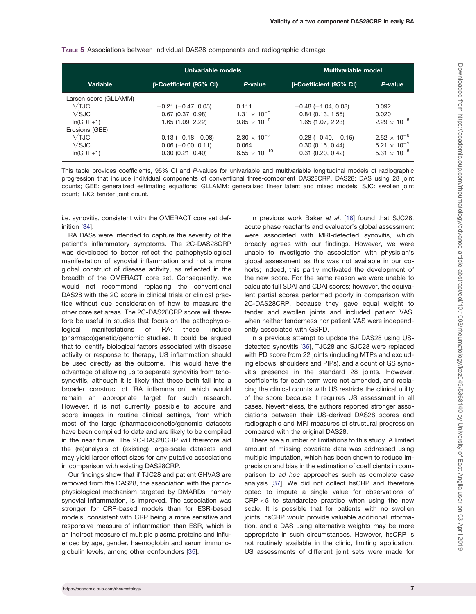|                       | Univariable models            |                        | <b>Multivariable model</b>    |                                |  |  |
|-----------------------|-------------------------------|------------------------|-------------------------------|--------------------------------|--|--|
| <b>Variable</b>       | <b>B-Coefficient (95% CI)</b> | P-value                | <b>B-Coefficient (95% CI)</b> | P-value                        |  |  |
| Larsen score (GLLAMM) |                               |                        |                               |                                |  |  |
| $\sqrt{T}$ JC         | $-0.21$ ( $-0.47, 0.05$ )     | 0.111                  | $-0.48$ ( $-1.04$ , 0.08)     | 0.092                          |  |  |
| $\sqrt{\text{SJ}}$ C  | $0.67$ $(0.37, 0.98)$         | $1.31 \times 10^{-5}$  | 0.84(0.13, 1.55)              | 0.020                          |  |  |
| $In(CRP+1)$           | 1.65 (1.09, 2.22)             | $9.85 \times 10^{-9}$  | 1.65 (1.07, 2.23)             | $2.29 \times 10^{-8}$          |  |  |
| Erosions (GEE)        |                               |                        |                               |                                |  |  |
| $\sqrt{T}$ JC         | $-0.13$ ( $-0.18$ , $-0.08$ ) | $2.30 \times 10^{-7}$  | $-0.28$ ( $-0.40, -0.16$ )    | $2.52 \times 10^{-6}$          |  |  |
| $\sqrt{\text{SJC}}$   | $0.06$ (-0.00, 0.11)          | 0.064                  | 0.30(0.15, 0.44)              | $5.21 \times 10^{-5}$          |  |  |
| $In(CRP+1)$           | 0.30(0.21, 0.40)              | $6.55 \times 10^{-10}$ | $0.31$ $(0.20, 0.42)$         | 5.31 $\times$ 10 <sup>-8</sup> |  |  |

### <span id="page-6-0"></span>TABLE 5 Associations between individual DAS28 components and radiographic damage

This table provides coefficients, 95% CI and P-values for univariable and multivariable longitudinal models of radiographic progression that include individual components of conventional three-component DAS28CRP. DAS28: DAS using 28 joint counts; GEE: generalized estimating equations; GLLAMM: generalized linear latent and mixed models; SJC: swollen joint count; TJC: tender joint count.

i.e. synovitis, consistent with the OMERACT core set definition [[34](#page-9-0)].

RA DASs were intended to capture the severity of the patient's inflammatory symptoms. The 2C-DAS28CRP was developed to better reflect the pathophysiological manifestation of synovial inflammation and not a more global construct of disease activity, as reflected in the breadth of the OMERACT core set. Consequently, we would not recommend replacing the conventional DAS28 with the 2C score in clinical trials or clinical practice without due consideration of how to measure the other core set areas. The 2C-DAS28CRP score will therefore be useful in studies that focus on the pathophysiological manifestations of RA: these include (pharmaco)genetic/genomic studies. It could be argued that to identify biological factors associated with disease activity or response to therapy, US inflammation should be used directly as the outcome. This would have the advantage of allowing us to separate synovitis from tenosynovitis, although it is likely that these both fall into a broader construct of 'RA inflammation' which would remain an appropriate target for such research. However, it is not currently possible to acquire and score images in routine clinical settings, from which most of the large (pharmaco)genetic/genomic datasets have been compiled to date and are likely to be compiled in the near future. The 2C-DAS28CRP will therefore aid the (re)analysis of (existing) large-scale datasets and may yield larger effect sizes for any putative associations in comparison with existing DAS28CRP.

Our findings show that if TJC28 and patient GHVAS are removed from the DAS28, the association with the pathophysiological mechanism targeted by DMARDs, namely synovial inflammation, is improved. The association was stronger for CRP-based models than for ESR-based models, consistent with CRP being a more sensitive and responsive measure of inflammation than ESR, which is an indirect measure of multiple plasma proteins and influenced by age, gender, haemoglobin and serum immunoglobulin levels, among other confounders [\[35\]](#page-9-0).

In previous work Baker et al. [\[18\]](#page-8-0) found that SJC28, acute phase reactants and evaluator's global assessment were associated with MRI-detected synovitis, which broadly agrees with our findings. However, we were unable to investigate the association with physician's global assessment as this was not available in our cohorts; indeed, this partly motivated the development of the new score. For the same reason we were unable to calculate full SDAI and CDAI scores; however, the equivalent partial scores performed poorly in comparison with 2C-DAS28CRP, because they gave equal weight to tender and swollen joints and included patient VAS, when neither tenderness nor patient VAS were independently associated with GSPD.

In a previous attempt to update the DAS28 using USdetected synovitis [\[36](#page-9-0)], TJC28 and SJC28 were replaced with PD score from 22 joints (including MTPs and excluding elbows, shoulders and PIPs), and a count of GS synovitis presence in the standard 28 joints. However, coefficients for each term were not amended, and replacing the clinical counts with US restricts the clinical utility of the score because it requires US assessment in all cases. Nevertheless, the authors reported stronger associations between their US-derived DAS28 scores and radiographic and MRI measures of structural progression compared with the original DAS28.

There are a number of limitations to this study. A limited amount of missing covariate data was addressed using multiple imputation, which has been shown to reduce imprecision and bias in the estimation of coefficients in comparison to ad hoc approaches such as complete case analysis [[37\]](#page-9-0). We did not collect hsCRP and therefore opted to impute a single value for observations of  $CRP < 5$  to standardize practice when using the new scale. It is possible that for patients with no swollen joints, hsCRP would provide valuable additional information, and a DAS using alternative weights may be more appropriate in such circumstances. However, hsCRP is not routinely available in the clinic, limiting application. US assessments of different joint sets were made for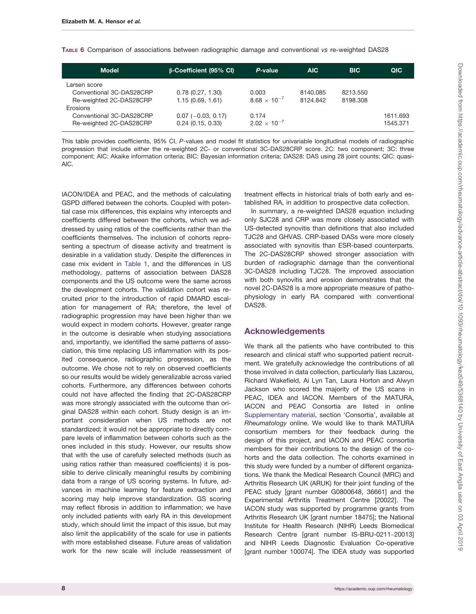<span id="page-7-0"></span>TABLE 6 Comparison of associations between radiographic damage and conventional vs re-weighted DAS28

| <b>Model</b>                                                                    | <b>B-Coefficient (95% CI)</b>            | P-value                        | AIC.                 | <b>BIC</b>           | QIC                  |
|---------------------------------------------------------------------------------|------------------------------------------|--------------------------------|----------------------|----------------------|----------------------|
| Larsen score<br>Conventional 3C-DAS28CRP<br>Re-weighted 2C-DAS28CRP<br>Erosions | 0.78(0.27, 1.30)<br>1.15(0.69, 1.61)     | 0.003<br>$8.68 \times 10^{-7}$ | 8140.085<br>8124.842 | 8213.550<br>8198.308 |                      |
| Conventional 3C-DAS28CRP<br>Re-weighted 2C-DAS28CRP                             | $0.07$ (-0.03, 0.17)<br>0.24(0.15, 0.33) | 0.174<br>$2.02 \times 10^{-7}$ |                      |                      | 1611.693<br>1545.371 |

This table provides coefficients, 95% CI, P-values and model fit statistics for univariable longitudinal models of radiographic progression that include either the re-weighted 2C- or conventional 3C-DAS28CRP score. 2C: two component; 3C: three component; AIC: Akaike information criteria; BIC: Bayesian information criteria; DAS28: DAS using 28 joint counts; QIC: quasi-AIC.

IACON/IDEA and PEAC, and the methods of calculating GSPD differed between the cohorts. Coupled with potential case mix differences, this explains why intercepts and coefficients differed between the cohorts, which we addressed by using ratios of the coefficients rather than the coefficients themselves. The inclusion of cohorts representing a spectrum of disease activity and treatment is desirable in a validation study. Despite the differences in case mix evident in [Table 1,](#page-3-0) and the differences in US methodology, patterns of association between DAS28 components and the US outcome were the same across the development cohorts. The validation cohort was recruited prior to the introduction of rapid DMARD escalation for management of RA; therefore, the level of radiographic progression may have been higher than we would expect in modern cohorts. However, greater range in the outcome is desirable when studying associations and, importantly, we identified the same patterns of association, this time replacing US inflammation with its posited consequence, radiographic progression, as the outcome. We chose not to rely on observed coefficients so our results would be widely generalizable across varied cohorts. Furthermore, any differences between cohorts could not have affected the finding that 2C-DAS28CRP was more strongly associated with the outcome than original DAS28 within each cohort. Study design is an important consideration when US methods are not standardized; it would not be appropriate to directly compare levels of inflammation between cohorts such as the ones included in this study. However, our results show that with the use of carefully selected methods (such as using ratios rather than measured coefficients) it is possible to derive clinically meaningful results by combining data from a range of US scoring systems. In future, advances in machine learning for feature extraction and scoring may help improve standardization. GS scoring may reflect fibrosis in addition to inflammation; we have only included patients with early RA in this development study, which should limit the impact of this issue, but may also limit the applicability of the scale for use in patients with more established disease. Future areas of validation work for the new scale will include reassessment of

treatment effects in historical trials of both early and established RA, in addition to prospective data collection.

In summary, a re-weighted DAS28 equation including only SJC28 and CRP was more closely associated with US-detected synovitis than definitions that also included TJC28 and GHVAS. CRP-based DASs were more closely associated with synovitis than ESR-based counterparts. The 2C-DAS28CRP showed stronger association with burden of radiographic damage than the conventional 3C-DAS28 including TJC28. The improved association with both synovitis and erosion demonstrates that the novel 2C-DAS28 is a more appropriate measure of pathophysiology in early RA compared with conventional DAS28.

### Acknowledgements

We thank all the patients who have contributed to this research and clinical staff who supported patient recruitment. We gratefully acknowledge the contributions of all those involved in data collection, particularly Ilias Lazarou, Richard Wakefield, Ai Lyn Tan, Laura Horton and Alwyn Jackson who scored the majority of the US scans in PEAC, IDEA and IACON. Members of the MATURA, IACON and PEAC Consortia are listed in online [Supplementary material,](https://academic.oup.com/rheumatology/article-lookup/doi/10.1093/rheumatology/kez049#supplementary-data) section 'Consortia', available at Rheumatology online. We would like to thank MATURA consortium members for their feedback during the design of this project, and IACON and PEAC consortia members for their contributions to the design of the cohorts and the data collection. The cohorts examined in this study were funded by a number of different organizations. We thank the Medical Research Council (MRC) and Arthritis Research UK (ARUK) for their joint funding of the PEAC study [grant number G0800648, 36661] and the Experimental Arthritis Treatment Centre [20022]. The IACON study was supported by programme grants from Arthritis Research UK [grant number 18475]; the National Institute for Health Research (NIHR) Leeds Biomedical Research Centre [grant number IS-BRU-0211-20013] and NIHR Leeds Diagnostic Evaluation Co-operative [grant number 100074]. The IDEA study was supported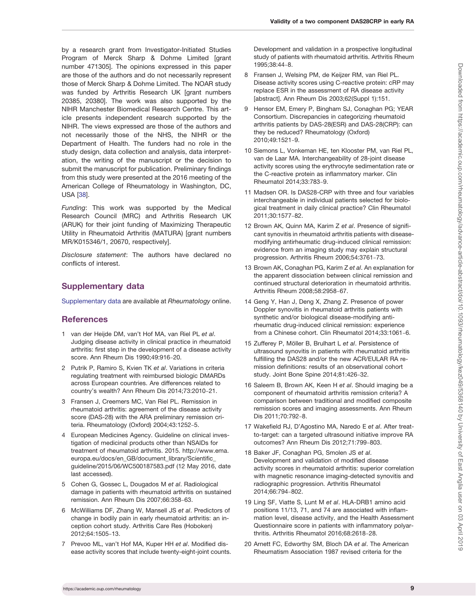<span id="page-8-0"></span>by a research grant from Investigator-Initiated Studies Program of Merck Sharp & Dohme Limited [grant number 471305]. The opinions expressed in this paper are those of the authors and do not necessarily represent those of Merck Sharp & Dohme Limited. The NOAR study was funded by Arthritis Research UK [grant numbers 20385, 20380]. The work was also supported by the NIHR Manchester Biomedical Research Centre. This article presents independent research supported by the NIHR. The views expressed are those of the authors and not necessarily those of the NHS, the NIHR or the Department of Health. The funders had no role in the study design, data collection and analysis, data interpretation, the writing of the manuscript or the decision to submit the manuscript for publication. Preliminary findings from this study were presented at the 2016 meeting of the American College of Rheumatology in Washington, DC, USA [\[38\]](#page-9-0).

Funding: This work was supported by the Medical Research Council (MRC) and Arthritis Research UK (ARUK) for their joint funding of Maximizing Therapeutic Utility in Rheumatoid Arthritis (MATURA) [grant numbers MR/K015346/1, 20670, respectively].

Disclosure statement: The authors have declared no conflicts of interest.

### Supplementary data

[Supplementary data](https://academic.oup.com/rheumatology/article-lookup/doi/10.1093/rheumatology/kez049#supplementary-data) are available at Rheumatology online.

### **References**

- 1 van der Heijde DM, van't Hof MA, van Riel PL et al. Judging disease activity in clinical practice in rheumatoid arthritis: first step in the development of a disease activity score. Ann Rheum Dis 1990;49:916-20.
- 2 Putrik P, Ramiro S, Kvien TK et al. Variations in criteria regulating treatment with reimbursed biologic DMARDs across European countries. Are differences related to country's wealth? Ann Rheum Dis 2014;73:2010-21.
- 3 Fransen J, Creemers MC, Van Riel PL. Remission in rheumatoid arthritis: agreement of the disease activity score (DAS-28) with the ARA preliminary remission criteria. Rheumatology (Oxford) 2004;43:1252-5.
- 4 European Medicines Agency. Guideline on clinical investigation of medicinal products other than NSAIDs for treatment of rheumatoid arthritis. 2015. [http://www.ema.](http://www.ema.europa.eu/docs/en_GB/document_library/Scientific_guideline/2015/06/WC500187583.pdf) [europa.eu/docs/en\\_GB/document\\_library/Scientific\\_](http://www.ema.europa.eu/docs/en_GB/document_library/Scientific_guideline/2015/06/WC500187583.pdf) [guideline/2015/06/WC500187583.pdf](http://www.ema.europa.eu/docs/en_GB/document_library/Scientific_guideline/2015/06/WC500187583.pdf) (12 May 2016, date last accessed).
- 5 Cohen G, Gossec L, Dougados M et al. Radiological damage in patients with rheumatoid arthritis on sustained remission. Ann Rheum Dis 2007;66:358-63.
- 6 McWilliams DF, Zhang W, Mansell JS et al. Predictors of change in bodily pain in early rheumatoid arthritis: an inception cohort study. Arthritis Care Res (Hoboken) 2012;64:1505-13.
- 7 Prevoo ML, van't Hof MA, Kuper HH et al. Modified disease activity scores that include twenty-eight-joint counts.

Development and validation in a prospective longitudinal study of patients with rheumatoid arthritis. Arthritis Rheum 1995;38:44-8.

- 8 Fransen J, Welsing PM, de Keijzer RM, van Riel PL. Disease activity scores using C-reactive protein: cRP may replace ESR in the assessment of RA disease activity [abstract]. Ann Rheum Dis 2003;62(Suppl 1):151.
- 9 Hensor EM, Emery P, Bingham SJ, Conaghan PG; YEAR Consortium. Discrepancies in categorizing rheumatoid arthritis patients by DAS-28(ESR) and DAS-28(CRP): can they be reduced? Rheumatology (Oxford) 2010;49:1521-9.
- 10 Siemons L, Vonkeman HE, ten Klooster PM, van Riel PL, van de Laar MA. Interchangeability of 28-joint disease activity scores using the erythrocyte sedimentation rate or the C-reactive protein as inflammatory marker. Clin Rheumatol 2014;33:783-9.
- 11 Madsen OR. Is DAS28-CRP with three and four variables interchangeable in individual patients selected for biological treatment in daily clinical practice? Clin Rheumatol 2011;30:1577-82.
- 12 Brown AK, Quinn MA, Karim Z et al. Presence of significant synovitis in rheumatoid arthritis patients with diseasemodifying antirheumatic drug-induced clinical remission: evidence from an imaging study may explain structural progression. Arthritis Rheum 2006;54:3761-73.
- 13 Brown AK, Conaghan PG, Karim Z et al. An explanation for the apparent dissociation between clinical remission and continued structural deterioration in rheumatoid arthritis. Arthritis Rheum 2008;58:2958-67.
- 14 Geng Y, Han J, Deng X, Zhang Z. Presence of power Doppler synovitis in rheumatoid arthritis patients with synthetic and/or biological disease-modifying antirheumatic drug-induced clinical remission: experience from a Chinese cohort. Clin Rheumatol 2014;33:1061-6.
- 15 Zufferey P, Möller B, Brulhart L et al. Persistence of ultrasound synovitis in patients with rheumatoid arthritis fulfilling the DAS28 and/or the new ACR/EULAR RA remission definitions: results of an observational cohort study. Joint Bone Spine 2014;81:426-32.
- 16 Saleem B, Brown AK, Keen H et al. Should imaging be a component of rheumatoid arthritis remission criteria? A comparison between traditional and modified composite remission scores and imaging assessments. Ann Rheum Dis 2011;70:792-8.
- 17 Wakefield RJ, D'Agostino MA, Naredo E et al. After treatto-target: can a targeted ultrasound initiative improve RA outcomes? Ann Rheum Dis 2012;71:799-803.
- 18 Baker JF, Conaghan PG, Smolen JS et al. Development and validation of modified disease activity scores in rheumatoid arthritis: superior correlation with magnetic resonance imaging-detected synovitis and radiographic progression. Arthritis Rheumatol 2014;66:794-802.
- 19 Ling SF, Viatte S, Lunt M et al. HLA-DRB1 amino acid positions 11/13, 71, and 74 are associated with inflammation level, disease activity, and the Health Assessment Questionnaire score in patients with inflammatory polyarthritis. Arthritis Rheumatol 2016;68:2618-28.
- 20 Arnett FC, Edworthy SM, Bloch DA et al. The American Rheumatism Association 1987 revised criteria for the